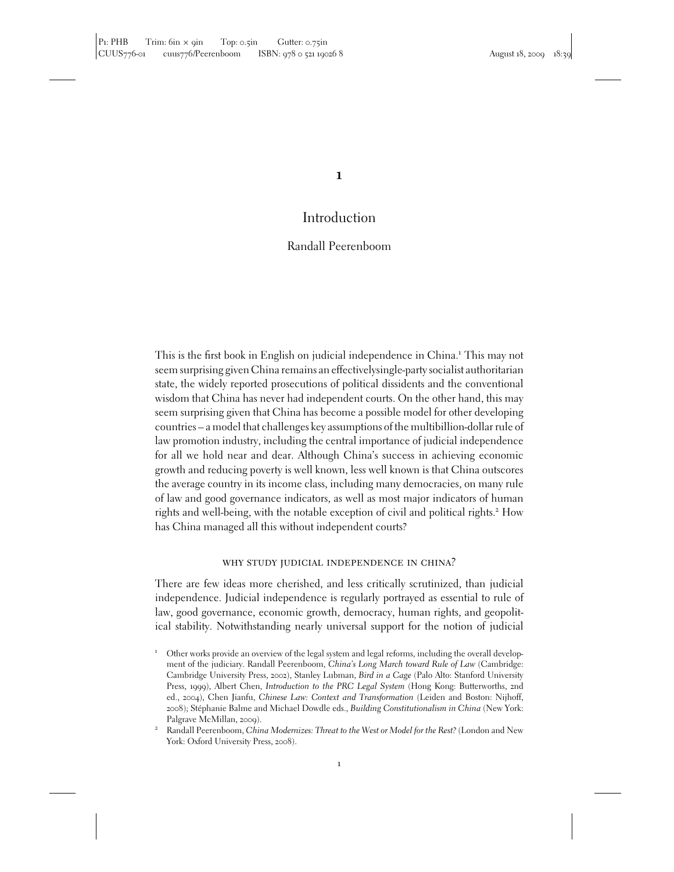**1**

# Introduction

# Randall Peerenboom

This is the first book in English on judicial independence in China.<sup>1</sup> This may not seem surprising given China remains an effectivelysingle-party socialist authoritarian state, the widely reported prosecutions of political dissidents and the conventional wisdom that China has never had independent courts. On the other hand, this may seem surprising given that China has become a possible model for other developing countries – a model that challenges key assumptions of the multibillion-dollar rule of law promotion industry, including the central importance of judicial independence for all we hold near and dear. Although China's success in achieving economic growth and reducing poverty is well known, less well known is that China outscores the average country in its income class, including many democracies, on many rule of law and good governance indicators, as well as most major indicators of human rights and well-being, with the notable exception of civil and political rights.<sup>2</sup> How has China managed all this without independent courts?

## why study judicial independence in china?

There are few ideas more cherished, and less critically scrutinized, than judicial independence. Judicial independence is regularly portrayed as essential to rule of law, good governance, economic growth, democracy, human rights, and geopolitical stability. Notwithstanding nearly universal support for the notion of judicial

<sup>&</sup>lt;sup>1</sup> Other works provide an overview of the legal system and legal reforms, including the overall development of the judiciary. Randall Peerenboom, *China's Long March toward Rule of Law* (Cambridge: Cambridge University Press, 2002), Stanley Lubman, *Bird in a Cage* (Palo Alto: Stanford University Press, 1999), Albert Chen, *Introduction to the PRC Legal System* (Hong Kong: Butterworths, 2nd ed., 2004), Chen Jianfu, *Chinese Law: Context and Transformation* (Leiden and Boston: Nijhoff, 2008); Stéphanie Balme and Michael Dowdle eds., Building Constitutionalism in China (New York: Palgrave McMillan, <sup>2009</sup>). <sup>2</sup> Randall Peerenboom, *China Modernizes: Threat to the West or Model for the Rest?* (London and New

York: Oxford University Press, 2008).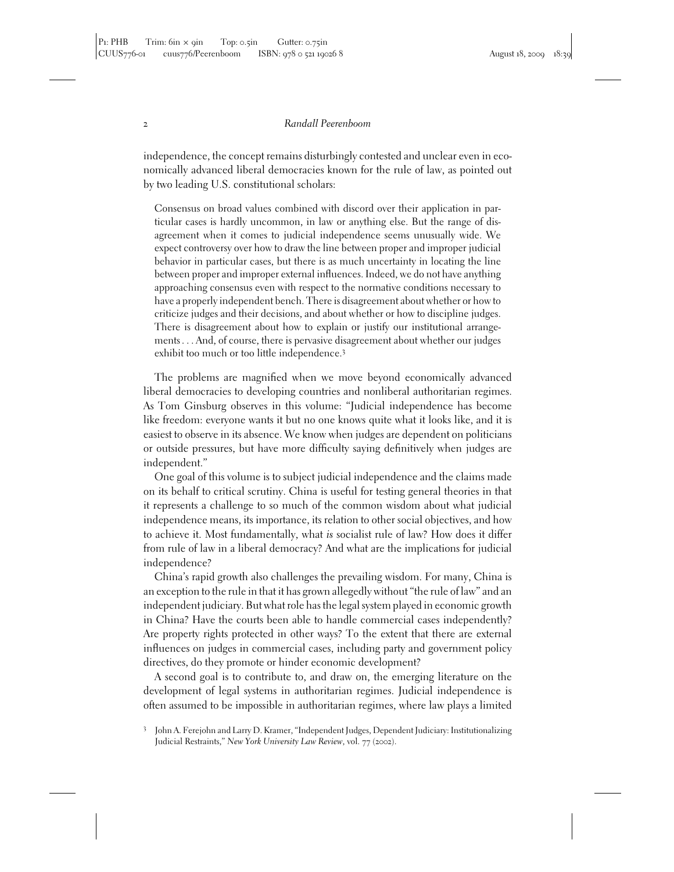independence, the concept remains disturbingly contested and unclear even in economically advanced liberal democracies known for the rule of law, as pointed out by two leading U.S. constitutional scholars:

Consensus on broad values combined with discord over their application in particular cases is hardly uncommon, in law or anything else. But the range of disagreement when it comes to judicial independence seems unusually wide. We expect controversy over how to draw the line between proper and improper judicial behavior in particular cases, but there is as much uncertainty in locating the line between proper and improper external influences. Indeed, we do not have anything approaching consensus even with respect to the normative conditions necessary to have a properly independent bench. There is disagreement about whether or how to criticize judges and their decisions, and about whether or how to discipline judges. There is disagreement about how to explain or justify our institutional arrangements . . . And, of course, there is pervasive disagreement about whether our judges exhibit too much or too little independence.<sup>3</sup>

The problems are magnified when we move beyond economically advanced liberal democracies to developing countries and nonliberal authoritarian regimes. As Tom Ginsburg observes in this volume: "Judicial independence has become like freedom: everyone wants it but no one knows quite what it looks like, and it is easiest to observe in its absence. We know when judges are dependent on politicians or outside pressures, but have more difficulty saying definitively when judges are independent."

One goal of this volume is to subject judicial independence and the claims made on its behalf to critical scrutiny. China is useful for testing general theories in that it represents a challenge to so much of the common wisdom about what judicial independence means, its importance, its relation to other social objectives, and how to achieve it. Most fundamentally, what *is* socialist rule of law? How does it differ from rule of law in a liberal democracy? And what are the implications for judicial independence?

China's rapid growth also challenges the prevailing wisdom. For many, China is an exception to the rule in that it has grown allegedly without "the rule of law" and an independent judiciary. But what role has the legal system played in economic growth in China? Have the courts been able to handle commercial cases independently? Are property rights protected in other ways? To the extent that there are external influences on judges in commercial cases, including party and government policy directives, do they promote or hinder economic development?

A second goal is to contribute to, and draw on, the emerging literature on the development of legal systems in authoritarian regimes. Judicial independence is often assumed to be impossible in authoritarian regimes, where law plays a limited

<sup>3</sup> John A. Ferejohn and Larry D. Kramer, "Independent Judges, Dependent Judiciary: Institutionalizing Judicial Restraints," *New York University Law Review*, vol. 77 (2002).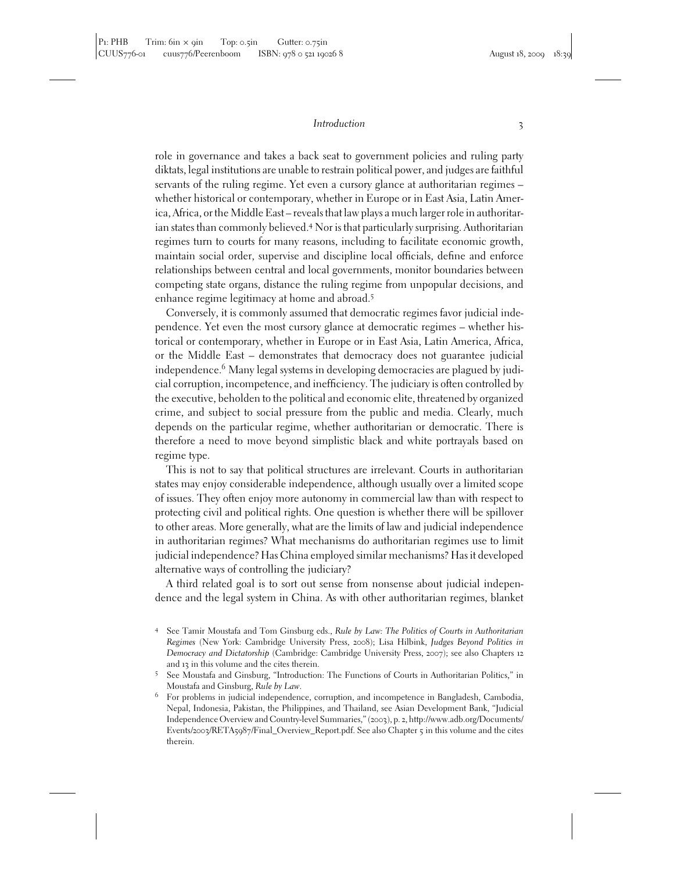role in governance and takes a back seat to government policies and ruling party diktats, legal institutions are unable to restrain political power, and judges are faithful servants of the ruling regime. Yet even a cursory glance at authoritarian regimes – whether historical or contemporary, whether in Europe or in East Asia, Latin America, Africa, or the Middle East – reveals that law plays a much larger role in authoritarian states than commonly believed.<sup>4</sup> Nor is that particularly surprising. Authoritarian regimes turn to courts for many reasons, including to facilitate economic growth, maintain social order, supervise and discipline local officials, define and enforce relationships between central and local governments, monitor boundaries between competing state organs, distance the ruling regime from unpopular decisions, and enhance regime legitimacy at home and abroad.<sup>5</sup>

Conversely, it is commonly assumed that democratic regimes favor judicial independence. Yet even the most cursory glance at democratic regimes – whether historical or contemporary, whether in Europe or in East Asia, Latin America, Africa, or the Middle East – demonstrates that democracy does not guarantee judicial independence.<sup>6</sup> Many legal systems in developing democracies are plagued by judicial corruption, incompetence, and inefficiency. The judiciary is often controlled by the executive, beholden to the political and economic elite, threatened by organized crime, and subject to social pressure from the public and media. Clearly, much depends on the particular regime, whether authoritarian or democratic. There is therefore a need to move beyond simplistic black and white portrayals based on regime type.

This is not to say that political structures are irrelevant. Courts in authoritarian states may enjoy considerable independence, although usually over a limited scope of issues. They often enjoy more autonomy in commercial law than with respect to protecting civil and political rights. One question is whether there will be spillover to other areas. More generally, what are the limits of law and judicial independence in authoritarian regimes? What mechanisms do authoritarian regimes use to limit judicial independence? Has China employed similar mechanisms? Has it developed alternative ways of controlling the judiciary?

A third related goal is to sort out sense from nonsense about judicial independence and the legal system in China. As with other authoritarian regimes, blanket

<sup>4</sup> See Tamir Moustafa and Tom Ginsburg eds., *Rule by Law: The Politics of Courts in Authoritarian Regimes* (New York: Cambridge University Press, 2008); Lisa Hilbink, *Judges Beyond Politics in Democracy and Dictatorship* (Cambridge: Cambridge University Press, 2007); see also Chapters 12 and <sup>13</sup> in this volume and the cites therein. <sup>5</sup> See Moustafa and Ginsburg, "Introduction: The Functions of Courts in Authoritarian Politics," in

Moustafa and Ginsburg, *Rule by Law*. <sup>6</sup> For problems in judicial independence, corruption, and incompetence in Bangladesh, Cambodia, Nepal, Indonesia, Pakistan, the Philippines, and Thailand, see Asian Development Bank, "Judicial Independence Overview and Country-level Summaries," (2003), p. 2, http://www.adb.org/Documents/ Events/2003/RETA5987/Final\_Overview\_Report.pdf. See also Chapter 5 in this volume and the cites therein.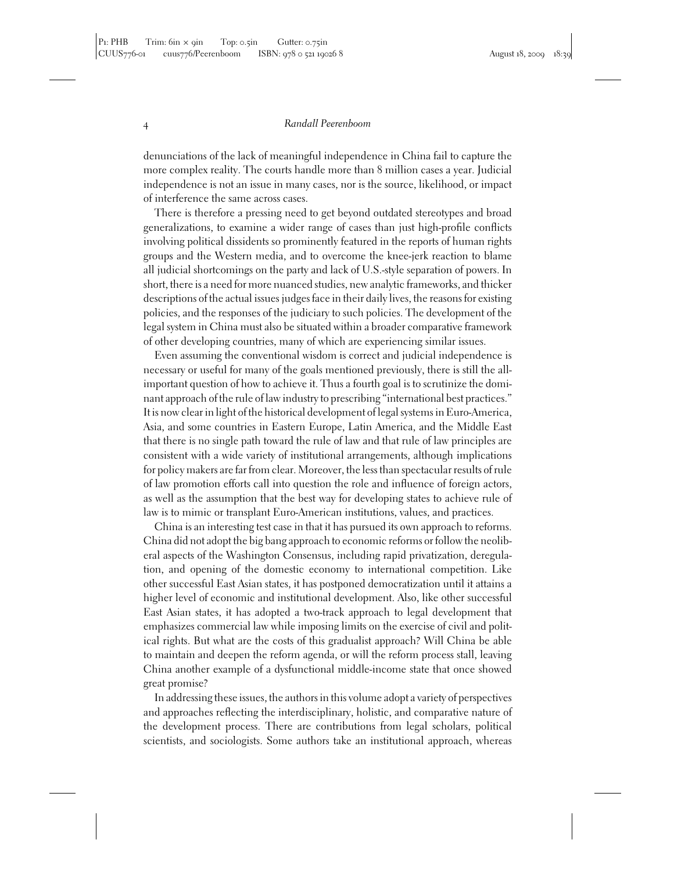denunciations of the lack of meaningful independence in China fail to capture the more complex reality. The courts handle more than 8 million cases a year. Judicial independence is not an issue in many cases, nor is the source, likelihood, or impact of interference the same across cases.

There is therefore a pressing need to get beyond outdated stereotypes and broad generalizations, to examine a wider range of cases than just high-profile conflicts involving political dissidents so prominently featured in the reports of human rights groups and the Western media, and to overcome the knee-jerk reaction to blame all judicial shortcomings on the party and lack of U.S.-style separation of powers. In short, there is a need for more nuanced studies, new analytic frameworks, and thicker descriptions of the actual issues judges face in their daily lives, the reasons for existing policies, and the responses of the judiciary to such policies. The development of the legal system in China must also be situated within a broader comparative framework of other developing countries, many of which are experiencing similar issues.

Even assuming the conventional wisdom is correct and judicial independence is necessary or useful for many of the goals mentioned previously, there is still the allimportant question of how to achieve it. Thus a fourth goal is to scrutinize the dominant approach of the rule of law industry to prescribing "international best practices." It is now clear in light of the historical development of legal systems in Euro-America, Asia, and some countries in Eastern Europe, Latin America, and the Middle East that there is no single path toward the rule of law and that rule of law principles are consistent with a wide variety of institutional arrangements, although implications for policy makers are far from clear. Moreover, the less than spectacular results of rule of law promotion efforts call into question the role and influence of foreign actors, as well as the assumption that the best way for developing states to achieve rule of law is to mimic or transplant Euro-American institutions, values, and practices.

China is an interesting test case in that it has pursued its own approach to reforms. China did not adopt the big bang approach to economic reforms or follow the neoliberal aspects of the Washington Consensus, including rapid privatization, deregulation, and opening of the domestic economy to international competition. Like other successful East Asian states, it has postponed democratization until it attains a higher level of economic and institutional development. Also, like other successful East Asian states, it has adopted a two-track approach to legal development that emphasizes commercial law while imposing limits on the exercise of civil and political rights. But what are the costs of this gradualist approach? Will China be able to maintain and deepen the reform agenda, or will the reform process stall, leaving China another example of a dysfunctional middle-income state that once showed great promise?

In addressing these issues, the authors in this volume adopt a variety of perspectives and approaches reflecting the interdisciplinary, holistic, and comparative nature of the development process. There are contributions from legal scholars, political scientists, and sociologists. Some authors take an institutional approach, whereas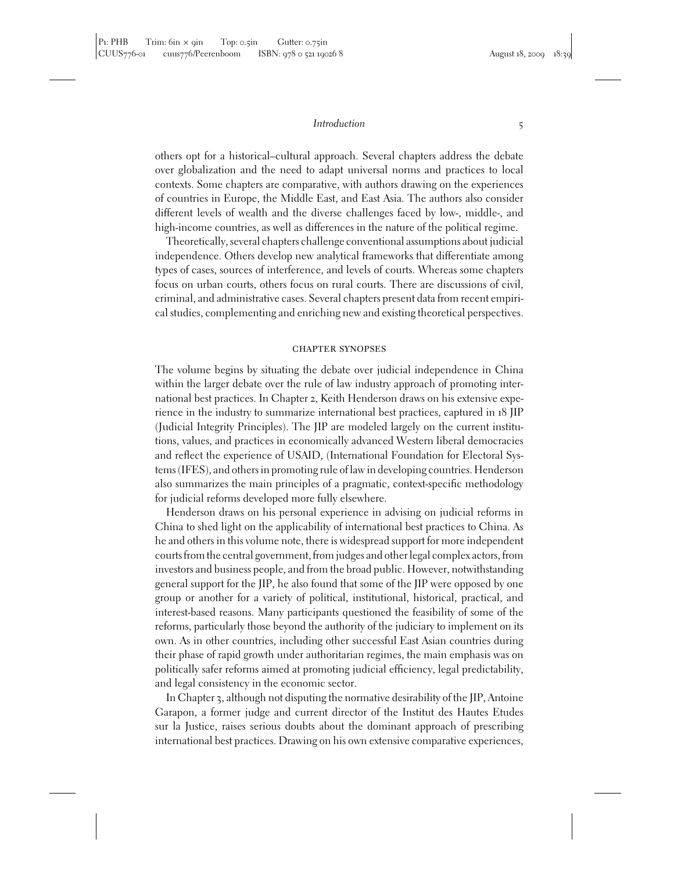others opt for a historical–cultural approach. Several chapters address the debate over globalization and the need to adapt universal norms and practices to local contexts. Some chapters are comparative, with authors drawing on the experiences of countries in Europe, the Middle East, and East Asia. The authors also consider different levels of wealth and the diverse challenges faced by low-, middle-, and high-income countries, as well as differences in the nature of the political regime.

Theoretically, several chapters challenge conventional assumptions about judicial independence. Others develop new analytical frameworks that differentiate among types of cases, sources of interference, and levels of courts. Whereas some chapters focus on urban courts, others focus on rural courts. There are discussions of civil, criminal, and administrative cases. Several chapters present data from recent empirical studies, complementing and enriching new and existing theoretical perspectives.

### chapter synopses

The volume begins by situating the debate over judicial independence in China within the larger debate over the rule of law industry approach of promoting international best practices. In Chapter 2, Keith Henderson draws on his extensive experience in the industry to summarize international best practices, captured in 18 JIP (Judicial Integrity Principles). The JIP are modeled largely on the current institutions, values, and practices in economically advanced Western liberal democracies and reflect the experience of USAID, (International Foundation for Electoral Systems (IFES), and others in promoting rule of law in developing countries. Henderson also summarizes the main principles of a pragmatic, context-specific methodology for judicial reforms developed more fully elsewhere.

Henderson draws on his personal experience in advising on judicial reforms in China to shed light on the applicability of international best practices to China. As he and others in this volume note, there is widespread support for more independent courts from the central government, from judges and other legal complex actors, from investors and business people, and from the broad public. However, notwithstanding general support for the JIP, he also found that some of the JIP were opposed by one group or another for a variety of political, institutional, historical, practical, and interest-based reasons. Many participants questioned the feasibility of some of the reforms, particularly those beyond the authority of the judiciary to implement on its own. As in other countries, including other successful East Asian countries during their phase of rapid growth under authoritarian regimes, the main emphasis was on politically safer reforms aimed at promoting judicial efficiency, legal predictability, and legal consistency in the economic sector.

In Chapter 3, although not disputing the normative desirability of the JIP, Antoine Garapon, a former judge and current director of the Institut des Hautes Etudes sur la Justice, raises serious doubts about the dominant approach of prescribing international best practices. Drawing on his own extensive comparative experiences,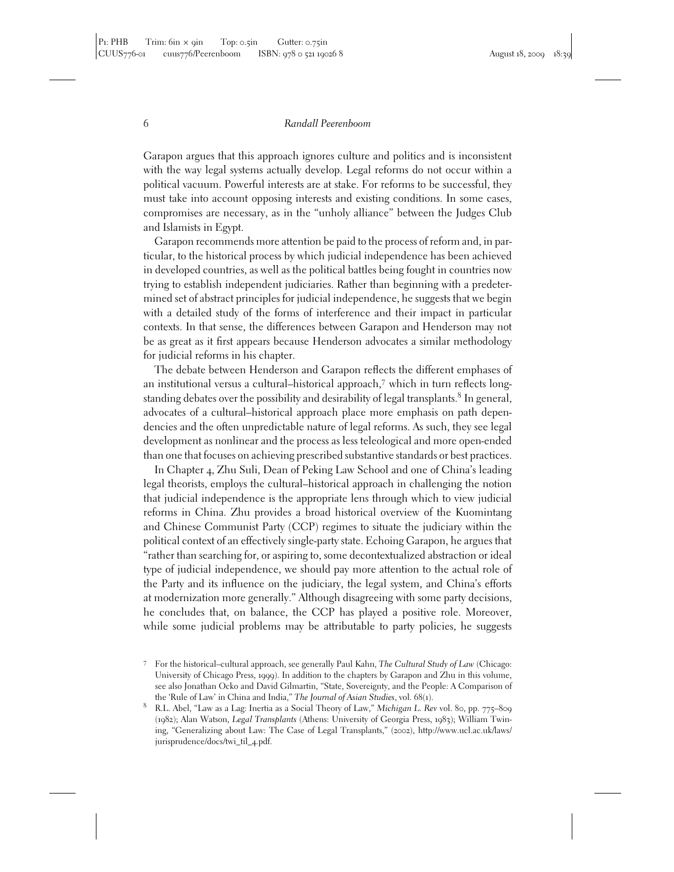Garapon argues that this approach ignores culture and politics and is inconsistent with the way legal systems actually develop. Legal reforms do not occur within a political vacuum. Powerful interests are at stake. For reforms to be successful, they must take into account opposing interests and existing conditions. In some cases, compromises are necessary, as in the "unholy alliance" between the Judges Club and Islamists in Egypt.

Garapon recommends more attention be paid to the process of reform and, in particular, to the historical process by which judicial independence has been achieved in developed countries, as well as the political battles being fought in countries now trying to establish independent judiciaries. Rather than beginning with a predetermined set of abstract principles for judicial independence, he suggests that we begin with a detailed study of the forms of interference and their impact in particular contexts. In that sense, the differences between Garapon and Henderson may not be as great as it first appears because Henderson advocates a similar methodology for judicial reforms in his chapter.

The debate between Henderson and Garapon reflects the different emphases of an institutional versus a cultural–historical approach,<sup>7</sup> which in turn reflects longstanding debates over the possibility and desirability of legal transplants.<sup>8</sup> In general, advocates of a cultural–historical approach place more emphasis on path dependencies and the often unpredictable nature of legal reforms. As such, they see legal development as nonlinear and the process as less teleological and more open-ended than one that focuses on achieving prescribed substantive standards or best practices.

In Chapter 4, Zhu Suli, Dean of Peking Law School and one of China's leading legal theorists, employs the cultural–historical approach in challenging the notion that judicial independence is the appropriate lens through which to view judicial reforms in China. Zhu provides a broad historical overview of the Kuomintang and Chinese Communist Party (CCP) regimes to situate the judiciary within the political context of an effectively single-party state. Echoing Garapon, he argues that "rather than searching for, or aspiring to, some decontextualized abstraction or ideal type of judicial independence, we should pay more attention to the actual role of the Party and its influence on the judiciary, the legal system, and China's efforts at modernization more generally." Although disagreeing with some party decisions, he concludes that, on balance, the CCP has played a positive role. Moreover, while some judicial problems may be attributable to party policies, he suggests

<sup>7</sup> For the historical–cultural approach, see generally Paul Kahn, *The Cultural Study of Law* (Chicago: University of Chicago Press, 1999). In addition to the chapters by Garapon and Zhu in this volume, see also Jonathan Ocko and David Gilmartin, "State, Sovereignty, and the People: A Comparison of

the 'Rule of Law' in China and India," *The Journal of Asian Studies*, vol. <sup>68</sup>(1). <sup>8</sup> R.L. Abel, "Law as a Lag: Inertia as a Social Theory of Law," *Michigan L. Rev* vol. <sup>80</sup>, pp. <sup>775</sup>–<sup>809</sup> (1982); Alan Watson, *Legal Transplants* (Athens: University of Georgia Press, 1983); William Twining, "Generalizing about Law: The Case of Legal Transplants," (2002), http://www.ucl.ac.uk/laws/ jurisprudence/docs/twi\_til\_4.pdf.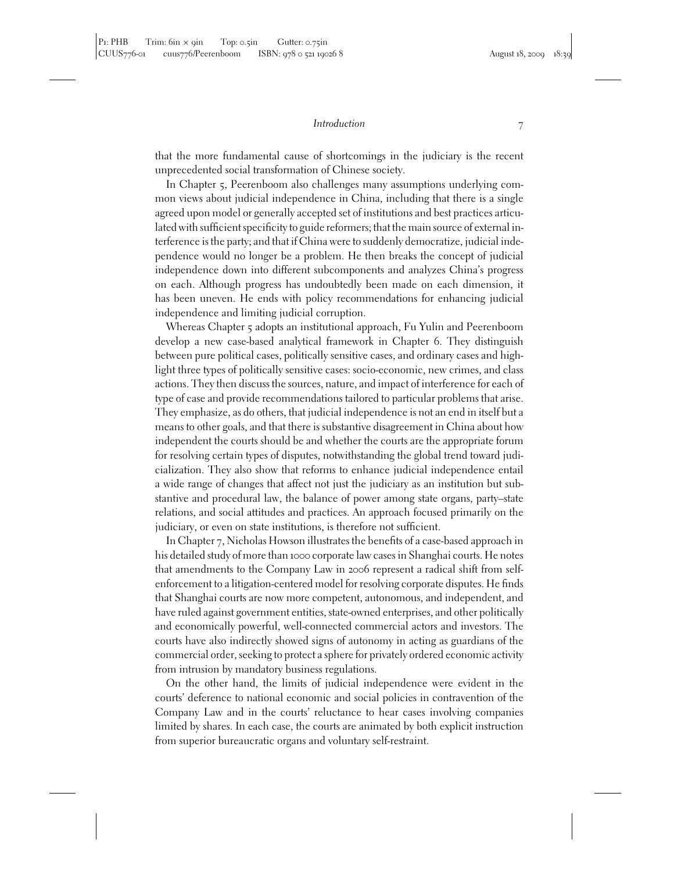that the more fundamental cause of shortcomings in the judiciary is the recent unprecedented social transformation of Chinese society.

In Chapter 5, Peerenboom also challenges many assumptions underlying common views about judicial independence in China, including that there is a single agreed upon model or generally accepted set of institutions and best practices articulated with sufficient specificity to guide reformers; that the main source of external interference is the party; and that if China were to suddenly democratize, judicial independence would no longer be a problem. He then breaks the concept of judicial independence down into different subcomponents and analyzes China's progress on each. Although progress has undoubtedly been made on each dimension, it has been uneven. He ends with policy recommendations for enhancing judicial independence and limiting judicial corruption.

Whereas Chapter 5 adopts an institutional approach, Fu Yulin and Peerenboom develop a new case-based analytical framework in Chapter 6. They distinguish between pure political cases, politically sensitive cases, and ordinary cases and highlight three types of politically sensitive cases: socio-economic, new crimes, and class actions. They then discuss the sources, nature, and impact of interference for each of type of case and provide recommendations tailored to particular problems that arise. They emphasize, as do others, that judicial independence is not an end in itself but a means to other goals, and that there is substantive disagreement in China about how independent the courts should be and whether the courts are the appropriate forum for resolving certain types of disputes, notwithstanding the global trend toward judicialization. They also show that reforms to enhance judicial independence entail a wide range of changes that affect not just the judiciary as an institution but substantive and procedural law, the balance of power among state organs, party–state relations, and social attitudes and practices. An approach focused primarily on the judiciary, or even on state institutions, is therefore not sufficient.

In Chapter 7, Nicholas Howson illustrates the benefits of a case-based approach in his detailed study of more than 1000 corporate law cases in Shanghai courts. He notes that amendments to the Company Law in 2006 represent a radical shift from selfenforcement to a litigation-centered model for resolving corporate disputes. He finds that Shanghai courts are now more competent, autonomous, and independent, and have ruled against government entities, state-owned enterprises, and other politically and economically powerful, well-connected commercial actors and investors. The courts have also indirectly showed signs of autonomy in acting as guardians of the commercial order, seeking to protect a sphere for privately ordered economic activity from intrusion by mandatory business regulations.

On the other hand, the limits of judicial independence were evident in the courts' deference to national economic and social policies in contravention of the Company Law and in the courts' reluctance to hear cases involving companies limited by shares. In each case, the courts are animated by both explicit instruction from superior bureaucratic organs and voluntary self-restraint.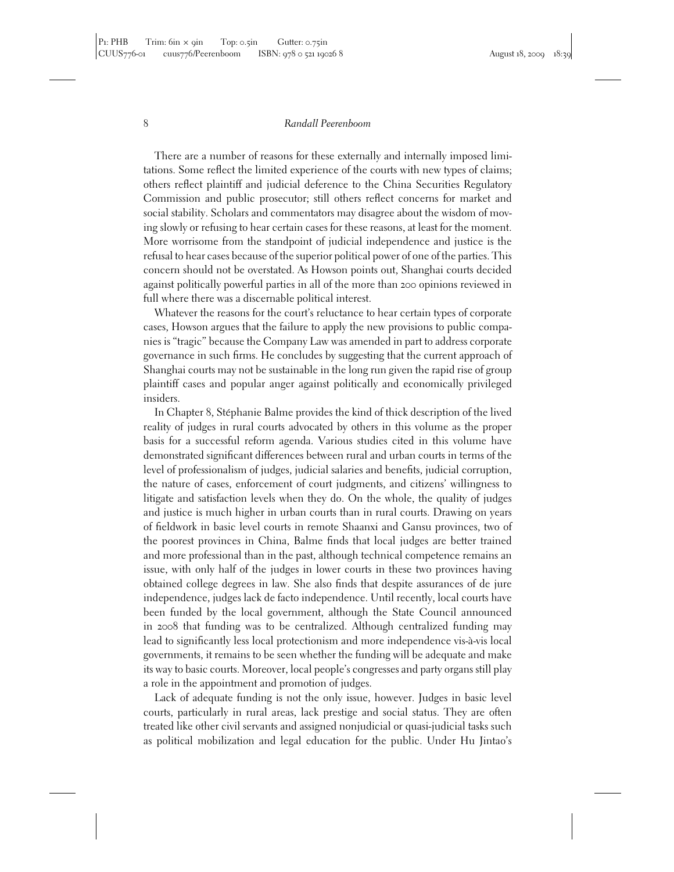There are a number of reasons for these externally and internally imposed limitations. Some reflect the limited experience of the courts with new types of claims; others reflect plaintiff and judicial deference to the China Securities Regulatory Commission and public prosecutor; still others reflect concerns for market and social stability. Scholars and commentators may disagree about the wisdom of moving slowly or refusing to hear certain cases for these reasons, at least for the moment. More worrisome from the standpoint of judicial independence and justice is the refusal to hear cases because of the superior political power of one of the parties. This concern should not be overstated. As Howson points out, Shanghai courts decided against politically powerful parties in all of the more than 200 opinions reviewed in full where there was a discernable political interest.

Whatever the reasons for the court's reluctance to hear certain types of corporate cases, Howson argues that the failure to apply the new provisions to public companies is "tragic" because the Company Law was amended in part to address corporate governance in such firms. He concludes by suggesting that the current approach of Shanghai courts may not be sustainable in the long run given the rapid rise of group plaintiff cases and popular anger against politically and economically privileged insiders.

In Chapter 8, Stephanie Balme provides the kind of thick description of the lived ´ reality of judges in rural courts advocated by others in this volume as the proper basis for a successful reform agenda. Various studies cited in this volume have demonstrated significant differences between rural and urban courts in terms of the level of professionalism of judges, judicial salaries and benefits, judicial corruption, the nature of cases, enforcement of court judgments, and citizens' willingness to litigate and satisfaction levels when they do. On the whole, the quality of judges and justice is much higher in urban courts than in rural courts. Drawing on years of fieldwork in basic level courts in remote Shaanxi and Gansu provinces, two of the poorest provinces in China, Balme finds that local judges are better trained and more professional than in the past, although technical competence remains an issue, with only half of the judges in lower courts in these two provinces having obtained college degrees in law. She also finds that despite assurances of de jure independence, judges lack de facto independence. Until recently, local courts have been funded by the local government, although the State Council announced in 2008 that funding was to be centralized. Although centralized funding may lead to significantly less local protectionism and more independence vis-à-vis local governments, it remains to be seen whether the funding will be adequate and make its way to basic courts. Moreover, local people's congresses and party organs still play a role in the appointment and promotion of judges.

Lack of adequate funding is not the only issue, however. Judges in basic level courts, particularly in rural areas, lack prestige and social status. They are often treated like other civil servants and assigned nonjudicial or quasi-judicial tasks such as political mobilization and legal education for the public. Under Hu Jintao's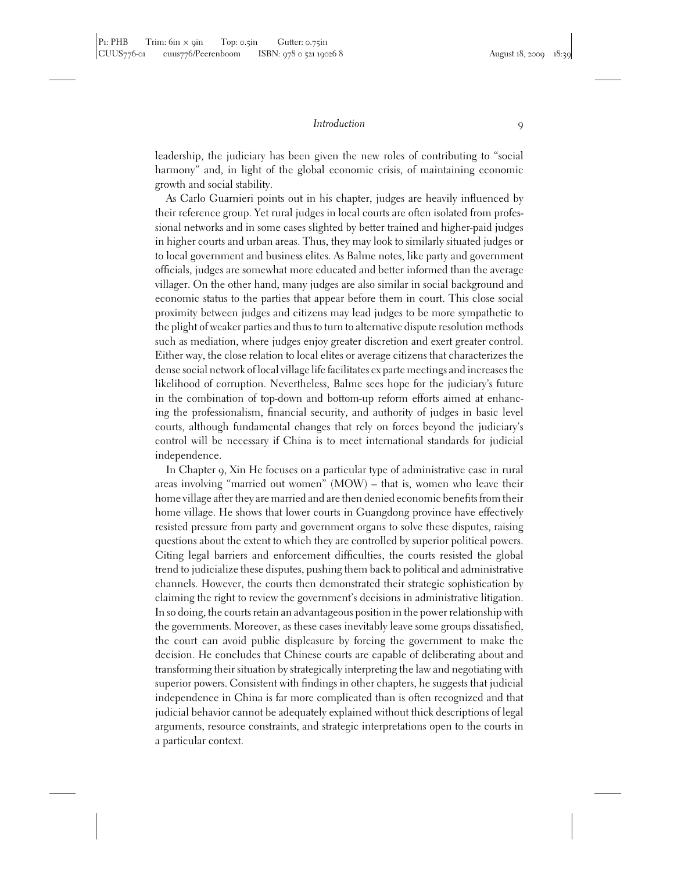leadership, the judiciary has been given the new roles of contributing to "social harmony" and, in light of the global economic crisis, of maintaining economic growth and social stability.

As Carlo Guarnieri points out in his chapter, judges are heavily influenced by their reference group. Yet rural judges in local courts are often isolated from professional networks and in some cases slighted by better trained and higher-paid judges in higher courts and urban areas. Thus, they may look to similarly situated judges or to local government and business elites. As Balme notes, like party and government officials, judges are somewhat more educated and better informed than the average villager. On the other hand, many judges are also similar in social background and economic status to the parties that appear before them in court. This close social proximity between judges and citizens may lead judges to be more sympathetic to the plight of weaker parties and thus to turn to alternative dispute resolution methods such as mediation, where judges enjoy greater discretion and exert greater control. Either way, the close relation to local elites or average citizens that characterizes the dense social network of local village life facilitates ex parte meetings and increases the likelihood of corruption. Nevertheless, Balme sees hope for the judiciary's future in the combination of top-down and bottom-up reform efforts aimed at enhancing the professionalism, financial security, and authority of judges in basic level courts, although fundamental changes that rely on forces beyond the judiciary's control will be necessary if China is to meet international standards for judicial independence.

In Chapter 9, Xin He focuses on a particular type of administrative case in rural areas involving "married out women" (MOW) – that is, women who leave their home village after they are married and are then denied economic benefits from their home village. He shows that lower courts in Guangdong province have effectively resisted pressure from party and government organs to solve these disputes, raising questions about the extent to which they are controlled by superior political powers. Citing legal barriers and enforcement difficulties, the courts resisted the global trend to judicialize these disputes, pushing them back to political and administrative channels. However, the courts then demonstrated their strategic sophistication by claiming the right to review the government's decisions in administrative litigation. In so doing, the courts retain an advantageous position in the power relationship with the governments. Moreover, as these cases inevitably leave some groups dissatisfied, the court can avoid public displeasure by forcing the government to make the decision. He concludes that Chinese courts are capable of deliberating about and transforming their situation by strategically interpreting the law and negotiating with superior powers. Consistent with findings in other chapters, he suggests that judicial independence in China is far more complicated than is often recognized and that judicial behavior cannot be adequately explained without thick descriptions of legal arguments, resource constraints, and strategic interpretations open to the courts in a particular context.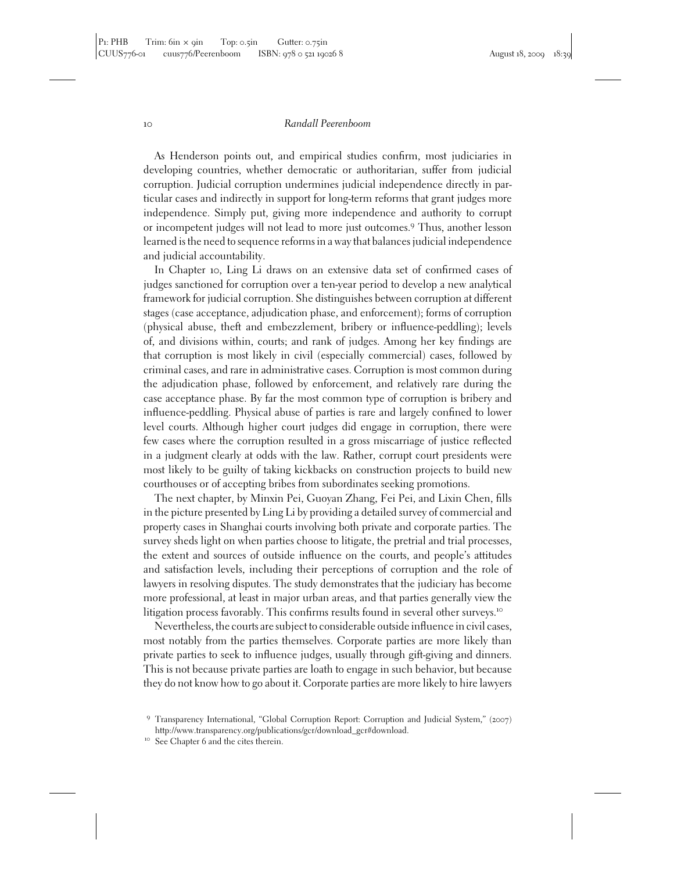As Henderson points out, and empirical studies confirm, most judiciaries in developing countries, whether democratic or authoritarian, suffer from judicial corruption. Judicial corruption undermines judicial independence directly in particular cases and indirectly in support for long-term reforms that grant judges more independence. Simply put, giving more independence and authority to corrupt or incompetent judges will not lead to more just outcomes.<sup>9</sup> Thus, another lesson learned is the need to sequence reforms in a way that balances judicial independence and judicial accountability.

In Chapter 10, Ling Li draws on an extensive data set of confirmed cases of judges sanctioned for corruption over a ten-year period to develop a new analytical framework for judicial corruption. She distinguishes between corruption at different stages (case acceptance, adjudication phase, and enforcement); forms of corruption (physical abuse, theft and embezzlement, bribery or influence-peddling); levels of, and divisions within, courts; and rank of judges. Among her key findings are that corruption is most likely in civil (especially commercial) cases, followed by criminal cases, and rare in administrative cases. Corruption is most common during the adjudication phase, followed by enforcement, and relatively rare during the case acceptance phase. By far the most common type of corruption is bribery and influence-peddling. Physical abuse of parties is rare and largely confined to lower level courts. Although higher court judges did engage in corruption, there were few cases where the corruption resulted in a gross miscarriage of justice reflected in a judgment clearly at odds with the law. Rather, corrupt court presidents were most likely to be guilty of taking kickbacks on construction projects to build new courthouses or of accepting bribes from subordinates seeking promotions.

The next chapter, by Minxin Pei, Guoyan Zhang, Fei Pei, and Lixin Chen, fills in the picture presented by Ling Li by providing a detailed survey of commercial and property cases in Shanghai courts involving both private and corporate parties. The survey sheds light on when parties choose to litigate, the pretrial and trial processes, the extent and sources of outside influence on the courts, and people's attitudes and satisfaction levels, including their perceptions of corruption and the role of lawyers in resolving disputes. The study demonstrates that the judiciary has become more professional, at least in major urban areas, and that parties generally view the litigation process favorably. This confirms results found in several other surveys.<sup>10</sup>

Nevertheless, the courts are subject to considerable outside influence in civil cases, most notably from the parties themselves. Corporate parties are more likely than private parties to seek to influence judges, usually through gift-giving and dinners. This is not because private parties are loath to engage in such behavior, but because they do not know how to go about it. Corporate parties are more likely to hire lawyers

<sup>9</sup> Transparency International, "Global Corruption Report: Corruption and Judicial System," (2007) http://www.transparency.org/publications/gcr/download\_gcr#download. <sup>10</sup> See Chapter <sup>6</sup> and the cites therein.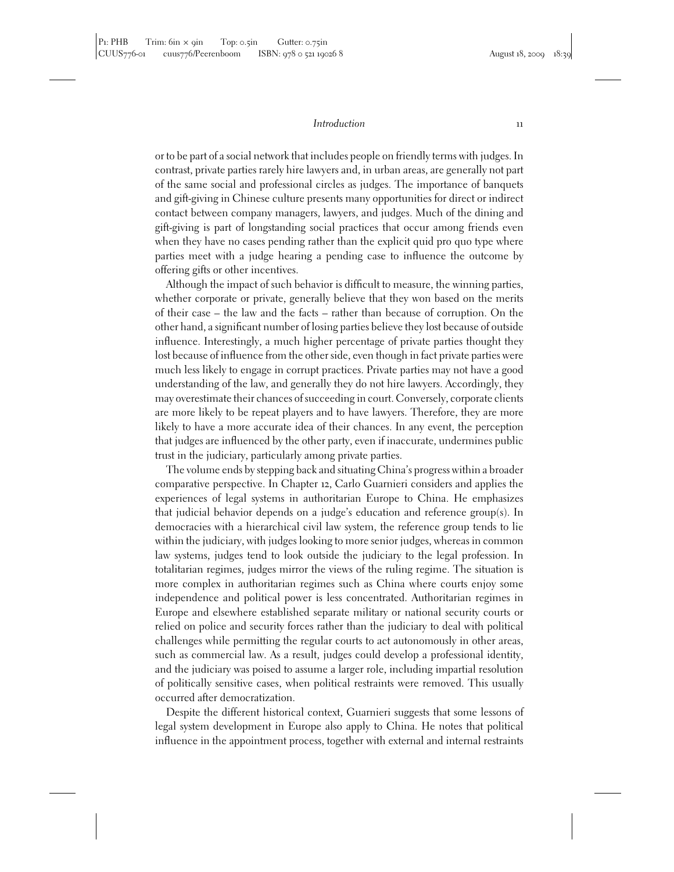or to be part of a social network that includes people on friendly terms with judges. In contrast, private parties rarely hire lawyers and, in urban areas, are generally not part of the same social and professional circles as judges. The importance of banquets and gift-giving in Chinese culture presents many opportunities for direct or indirect contact between company managers, lawyers, and judges. Much of the dining and gift-giving is part of longstanding social practices that occur among friends even when they have no cases pending rather than the explicit quid pro quo type where parties meet with a judge hearing a pending case to influence the outcome by offering gifts or other incentives.

Although the impact of such behavior is difficult to measure, the winning parties, whether corporate or private, generally believe that they won based on the merits of their case – the law and the facts – rather than because of corruption. On the other hand, a significant number of losing parties believe they lost because of outside influence. Interestingly, a much higher percentage of private parties thought they lost because of influence from the other side, even though in fact private parties were much less likely to engage in corrupt practices. Private parties may not have a good understanding of the law, and generally they do not hire lawyers. Accordingly, they may overestimate their chances of succeeding in court. Conversely, corporate clients are more likely to be repeat players and to have lawyers. Therefore, they are more likely to have a more accurate idea of their chances. In any event, the perception that judges are influenced by the other party, even if inaccurate, undermines public trust in the judiciary, particularly among private parties.

The volume ends by stepping back and situating China's progress within a broader comparative perspective. In Chapter 12, Carlo Guarnieri considers and applies the experiences of legal systems in authoritarian Europe to China. He emphasizes that judicial behavior depends on a judge's education and reference group(s). In democracies with a hierarchical civil law system, the reference group tends to lie within the judiciary, with judges looking to more senior judges, whereas in common law systems, judges tend to look outside the judiciary to the legal profession. In totalitarian regimes, judges mirror the views of the ruling regime. The situation is more complex in authoritarian regimes such as China where courts enjoy some independence and political power is less concentrated. Authoritarian regimes in Europe and elsewhere established separate military or national security courts or relied on police and security forces rather than the judiciary to deal with political challenges while permitting the regular courts to act autonomously in other areas, such as commercial law. As a result, judges could develop a professional identity, and the judiciary was poised to assume a larger role, including impartial resolution of politically sensitive cases, when political restraints were removed. This usually occurred after democratization.

Despite the different historical context, Guarnieri suggests that some lessons of legal system development in Europe also apply to China. He notes that political influence in the appointment process, together with external and internal restraints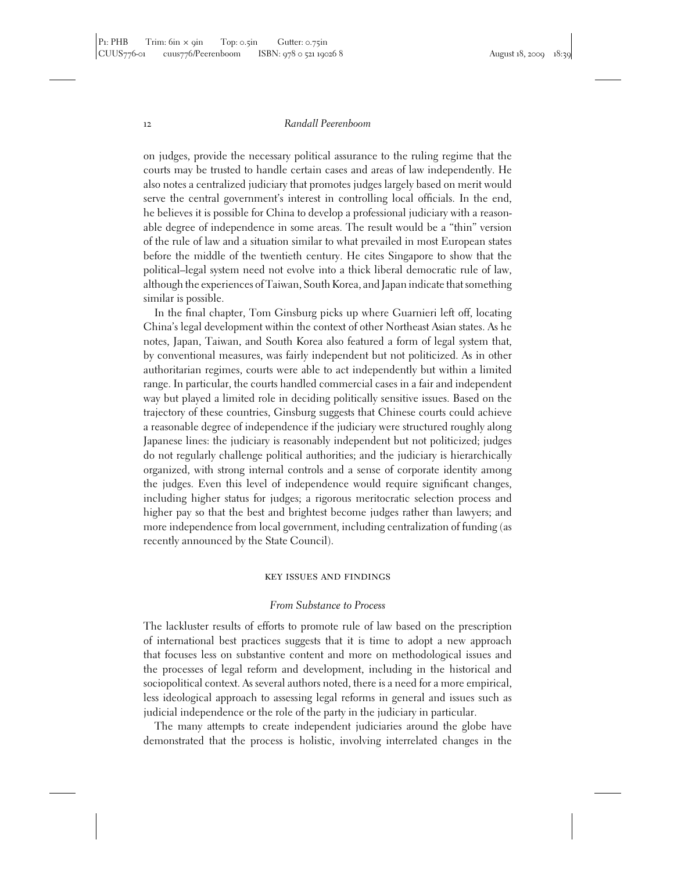on judges, provide the necessary political assurance to the ruling regime that the courts may be trusted to handle certain cases and areas of law independently. He also notes a centralized judiciary that promotes judges largely based on merit would serve the central government's interest in controlling local officials. In the end, he believes it is possible for China to develop a professional judiciary with a reasonable degree of independence in some areas. The result would be a "thin" version of the rule of law and a situation similar to what prevailed in most European states before the middle of the twentieth century. He cites Singapore to show that the political–legal system need not evolve into a thick liberal democratic rule of law, although the experiences of Taiwan, South Korea, and Japan indicate that something similar is possible.

In the final chapter, Tom Ginsburg picks up where Guarnieri left off, locating China's legal development within the context of other Northeast Asian states. As he notes, Japan, Taiwan, and South Korea also featured a form of legal system that, by conventional measures, was fairly independent but not politicized. As in other authoritarian regimes, courts were able to act independently but within a limited range. In particular, the courts handled commercial cases in a fair and independent way but played a limited role in deciding politically sensitive issues. Based on the trajectory of these countries, Ginsburg suggests that Chinese courts could achieve a reasonable degree of independence if the judiciary were structured roughly along Japanese lines: the judiciary is reasonably independent but not politicized; judges do not regularly challenge political authorities; and the judiciary is hierarchically organized, with strong internal controls and a sense of corporate identity among the judges. Even this level of independence would require significant changes, including higher status for judges; a rigorous meritocratic selection process and higher pay so that the best and brightest become judges rather than lawyers; and more independence from local government, including centralization of funding (as recently announced by the State Council).

### key issues and findings

## *From Substance to Process*

The lackluster results of efforts to promote rule of law based on the prescription of international best practices suggests that it is time to adopt a new approach that focuses less on substantive content and more on methodological issues and the processes of legal reform and development, including in the historical and sociopolitical context. As several authors noted, there is a need for a more empirical, less ideological approach to assessing legal reforms in general and issues such as judicial independence or the role of the party in the judiciary in particular.

The many attempts to create independent judiciaries around the globe have demonstrated that the process is holistic, involving interrelated changes in the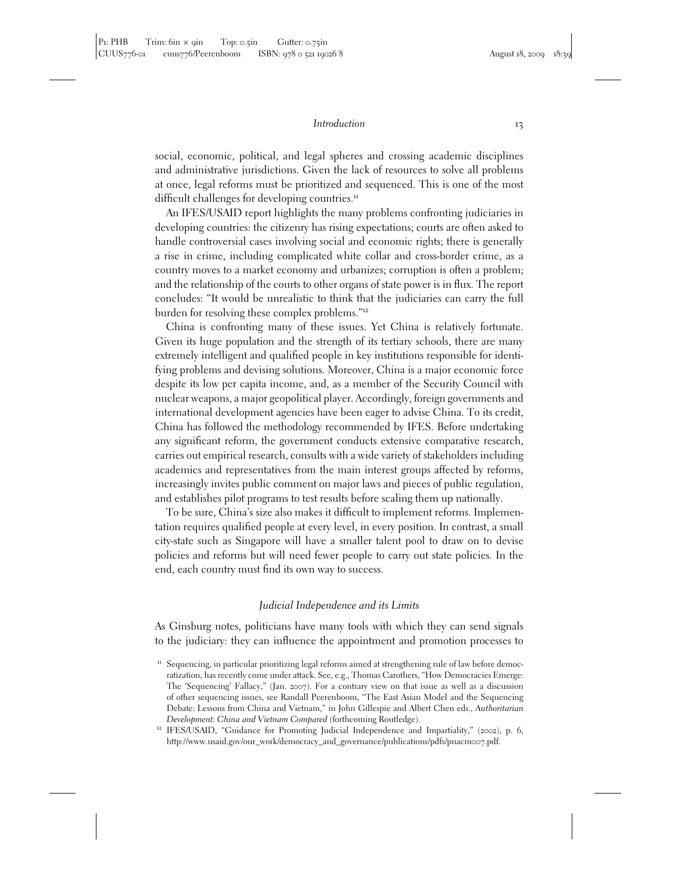social, economic, political, and legal spheres and crossing academic disciplines and administrative jurisdictions. Given the lack of resources to solve all problems at once, legal reforms must be prioritized and sequenced. This is one of the most difficult challenges for developing countries.<sup>11</sup>

An IFES/USAID report highlights the many problems confronting judiciaries in developing countries: the citizenry has rising expectations; courts are often asked to handle controversial cases involving social and economic rights; there is generally a rise in crime, including complicated white collar and cross-border crime, as a country moves to a market economy and urbanizes; corruption is often a problem; and the relationship of the courts to other organs of state power is in flux. The report concludes: "It would be unrealistic to think that the judiciaries can carry the full burden for resolving these complex problems."<sup>12</sup>

China is confronting many of these issues. Yet China is relatively fortunate. Given its huge population and the strength of its tertiary schools, there are many extremely intelligent and qualified people in key institutions responsible for identifying problems and devising solutions. Moreover, China is a major economic force despite its low per capita income, and, as a member of the Security Council with nuclear weapons, a major geopolitical player. Accordingly, foreign governments and international development agencies have been eager to advise China. To its credit, China has followed the methodology recommended by IFES. Before undertaking any significant reform, the government conducts extensive comparative research, carries out empirical research, consults with a wide variety of stakeholders including academics and representatives from the main interest groups affected by reforms, increasingly invites public comment on major laws and pieces of public regulation, and establishes pilot programs to test results before scaling them up nationally.

To be sure, China's size also makes it difficult to implement reforms. Implementation requires qualified people at every level, in every position. In contrast, a small city-state such as Singapore will have a smaller talent pool to draw on to devise policies and reforms but will need fewer people to carry out state policies. In the end, each country must find its own way to success.

### *Judicial Independence and its Limits*

As Ginsburg notes, politicians have many tools with which they can send signals to the judiciary: they can influence the appointment and promotion processes to

<sup>&</sup>lt;sup>11</sup> Sequencing, in particular prioritizing legal reforms aimed at strengthening rule of law before democratization, has recently come under attack. See, e.g., Thomas Carothers, "How Democracies Emerge: The 'Sequencing' Fallacy," (Jan. 2007). For a contrary view on that issue as well as a discussion of other sequencing issues, see Randall Peerenboom, "The East Asian Model and the Sequencing Debate: Lessons from China and Vietnam," in John Gillespie and Albert Chen eds., *Authoritarian Development: China and Vietnam Compared* (forthcoming Routledge). <sup>12</sup> IFES/USAID, "Guidance for Promoting Judicial Independence and Impartiality," (2002), p. <sup>6</sup>,

http://www.usaid.gov/our\_work/democracy\_and\_governance/publications/pdfs/pnacm007.pdf.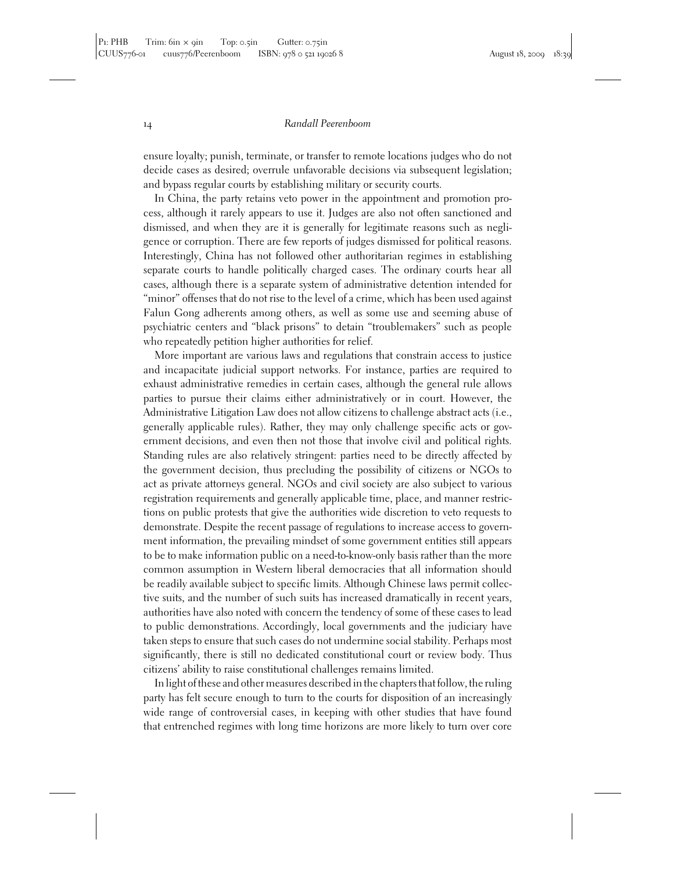ensure loyalty; punish, terminate, or transfer to remote locations judges who do not decide cases as desired; overrule unfavorable decisions via subsequent legislation; and bypass regular courts by establishing military or security courts.

In China, the party retains veto power in the appointment and promotion process, although it rarely appears to use it. Judges are also not often sanctioned and dismissed, and when they are it is generally for legitimate reasons such as negligence or corruption. There are few reports of judges dismissed for political reasons. Interestingly, China has not followed other authoritarian regimes in establishing separate courts to handle politically charged cases. The ordinary courts hear all cases, although there is a separate system of administrative detention intended for "minor" offenses that do not rise to the level of a crime, which has been used against Falun Gong adherents among others, as well as some use and seeming abuse of psychiatric centers and "black prisons" to detain "troublemakers" such as people who repeatedly petition higher authorities for relief.

More important are various laws and regulations that constrain access to justice and incapacitate judicial support networks. For instance, parties are required to exhaust administrative remedies in certain cases, although the general rule allows parties to pursue their claims either administratively or in court. However, the Administrative Litigation Law does not allow citizens to challenge abstract acts (i.e., generally applicable rules). Rather, they may only challenge specific acts or government decisions, and even then not those that involve civil and political rights. Standing rules are also relatively stringent: parties need to be directly affected by the government decision, thus precluding the possibility of citizens or NGOs to act as private attorneys general. NGOs and civil society are also subject to various registration requirements and generally applicable time, place, and manner restrictions on public protests that give the authorities wide discretion to veto requests to demonstrate. Despite the recent passage of regulations to increase access to government information, the prevailing mindset of some government entities still appears to be to make information public on a need-to-know-only basis rather than the more common assumption in Western liberal democracies that all information should be readily available subject to specific limits. Although Chinese laws permit collective suits, and the number of such suits has increased dramatically in recent years, authorities have also noted with concern the tendency of some of these cases to lead to public demonstrations. Accordingly, local governments and the judiciary have taken steps to ensure that such cases do not undermine social stability. Perhaps most significantly, there is still no dedicated constitutional court or review body. Thus citizens' ability to raise constitutional challenges remains limited.

In light of these and other measures described in the chapters that follow, the ruling party has felt secure enough to turn to the courts for disposition of an increasingly wide range of controversial cases, in keeping with other studies that have found that entrenched regimes with long time horizons are more likely to turn over core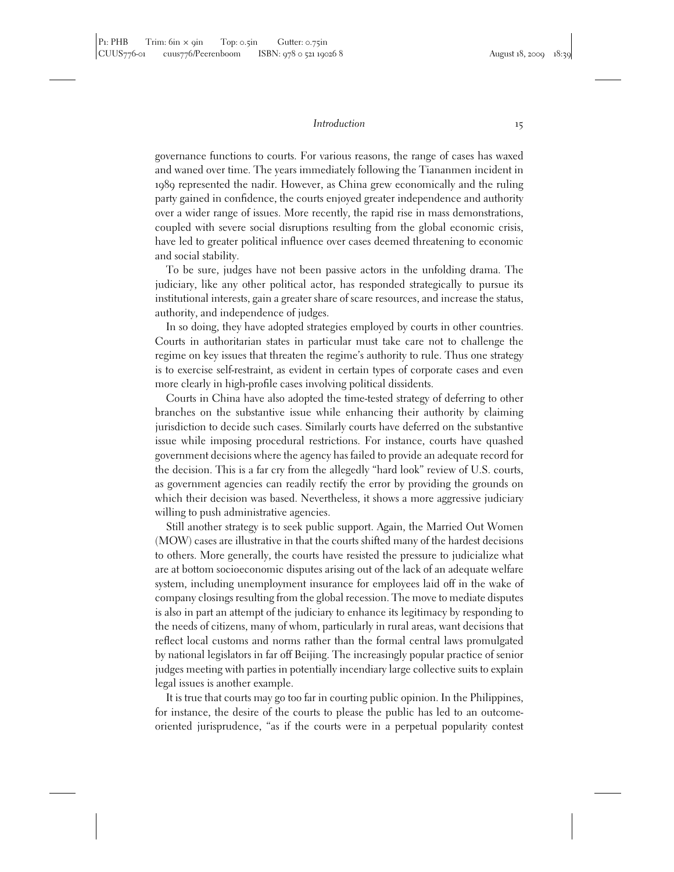governance functions to courts. For various reasons, the range of cases has waxed and waned over time. The years immediately following the Tiananmen incident in 1989 represented the nadir. However, as China grew economically and the ruling party gained in confidence, the courts enjoyed greater independence and authority over a wider range of issues. More recently, the rapid rise in mass demonstrations, coupled with severe social disruptions resulting from the global economic crisis, have led to greater political influence over cases deemed threatening to economic and social stability.

To be sure, judges have not been passive actors in the unfolding drama. The judiciary, like any other political actor, has responded strategically to pursue its institutional interests, gain a greater share of scare resources, and increase the status, authority, and independence of judges.

In so doing, they have adopted strategies employed by courts in other countries. Courts in authoritarian states in particular must take care not to challenge the regime on key issues that threaten the regime's authority to rule. Thus one strategy is to exercise self-restraint, as evident in certain types of corporate cases and even more clearly in high-profile cases involving political dissidents.

Courts in China have also adopted the time-tested strategy of deferring to other branches on the substantive issue while enhancing their authority by claiming jurisdiction to decide such cases. Similarly courts have deferred on the substantive issue while imposing procedural restrictions. For instance, courts have quashed government decisions where the agency has failed to provide an adequate record for the decision. This is a far cry from the allegedly "hard look" review of U.S. courts, as government agencies can readily rectify the error by providing the grounds on which their decision was based. Nevertheless, it shows a more aggressive judiciary willing to push administrative agencies.

Still another strategy is to seek public support. Again, the Married Out Women (MOW) cases are illustrative in that the courts shifted many of the hardest decisions to others. More generally, the courts have resisted the pressure to judicialize what are at bottom socioeconomic disputes arising out of the lack of an adequate welfare system, including unemployment insurance for employees laid off in the wake of company closings resulting from the global recession. The move to mediate disputes is also in part an attempt of the judiciary to enhance its legitimacy by responding to the needs of citizens, many of whom, particularly in rural areas, want decisions that reflect local customs and norms rather than the formal central laws promulgated by national legislators in far off Beijing. The increasingly popular practice of senior judges meeting with parties in potentially incendiary large collective suits to explain legal issues is another example.

It is true that courts may go too far in courting public opinion. In the Philippines, for instance, the desire of the courts to please the public has led to an outcomeoriented jurisprudence, "as if the courts were in a perpetual popularity contest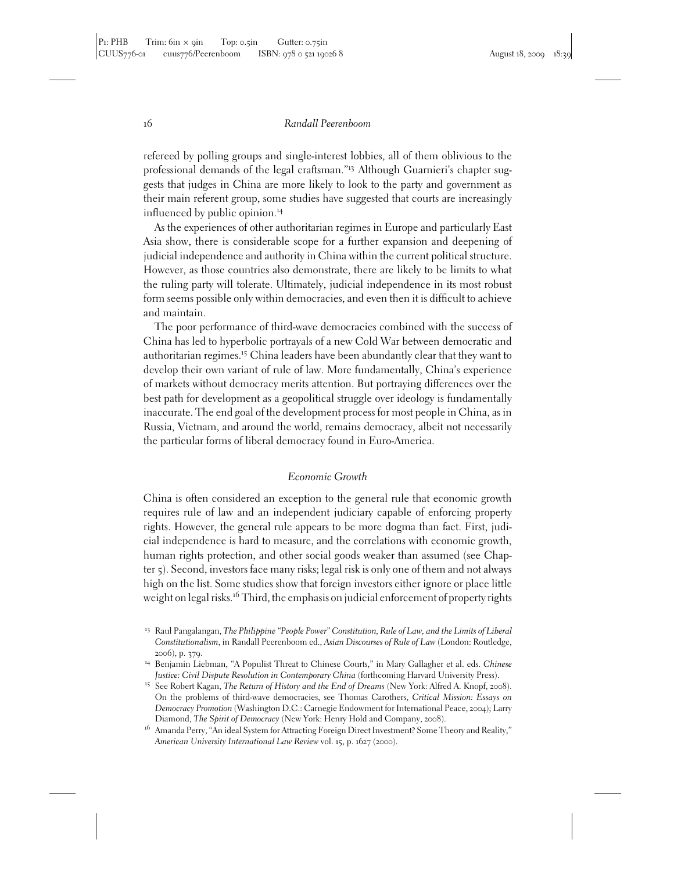refereed by polling groups and single-interest lobbies, all of them oblivious to the professional demands of the legal craftsman."<sup>13</sup> Although Guarnieri's chapter suggests that judges in China are more likely to look to the party and government as their main referent group, some studies have suggested that courts are increasingly influenced by public opinion.<sup>14</sup>

As the experiences of other authoritarian regimes in Europe and particularly East Asia show, there is considerable scope for a further expansion and deepening of judicial independence and authority in China within the current political structure. However, as those countries also demonstrate, there are likely to be limits to what the ruling party will tolerate. Ultimately, judicial independence in its most robust form seems possible only within democracies, and even then it is difficult to achieve and maintain.

The poor performance of third-wave democracies combined with the success of China has led to hyperbolic portrayals of a new Cold War between democratic and authoritarian regimes.<sup>15</sup> China leaders have been abundantly clear that they want to develop their own variant of rule of law. More fundamentally, China's experience of markets without democracy merits attention. But portraying differences over the best path for development as a geopolitical struggle over ideology is fundamentally inaccurate. The end goal of the development process for most people in China, as in Russia, Vietnam, and around the world, remains democracy, albeit not necessarily the particular forms of liberal democracy found in Euro-America.

## *Economic Growth*

China is often considered an exception to the general rule that economic growth requires rule of law and an independent judiciary capable of enforcing property rights. However, the general rule appears to be more dogma than fact. First, judicial independence is hard to measure, and the correlations with economic growth, human rights protection, and other social goods weaker than assumed (see Chapter 5). Second, investors face many risks; legal risk is only one of them and not always high on the list. Some studies show that foreign investors either ignore or place little weight on legal risks.<sup>16</sup> Third, the emphasis on judicial enforcement of property rights

<sup>13</sup> Raul Pangalangan, *The Philippine "People Power" Constitution, Rule of Law, and the Limits of Liberal Constitutionalism*, in Randall Peerenboom ed., *Asian Discourses of Rule of Law* (London: Routledge, <sup>2006</sup>), p. <sup>379</sup>. <sup>14</sup> Benjamin Liebman, "A Populist Threat to Chinese Courts," in Mary Gallagher et al. eds. *Chinese*

*Justice: Civil Dispute Resolution in Contemporary China* (forthcoming Harvard University Press). <sup>15</sup> See Robert Kagan, *The Return of History and the End of Dreams* (New York: Alfred A. Knopf, <sup>2008</sup>).

On the problems of third-wave democracies, see Thomas Carothers, *Critical Mission: Essays on Democracy Promotion* (Washington D.C.: Carnegie Endowment for International Peace, 2004); Larry

Diamond, *The Spirit of Democracy* (New York: Henry Hold and Company, <sup>2008</sup>). <sup>16</sup> Amanda Perry, "An ideal System for Attracting Foreign Direct Investment? Some Theory and Reality," *American University International Law Review* vol. 15, p. 1627 (2000).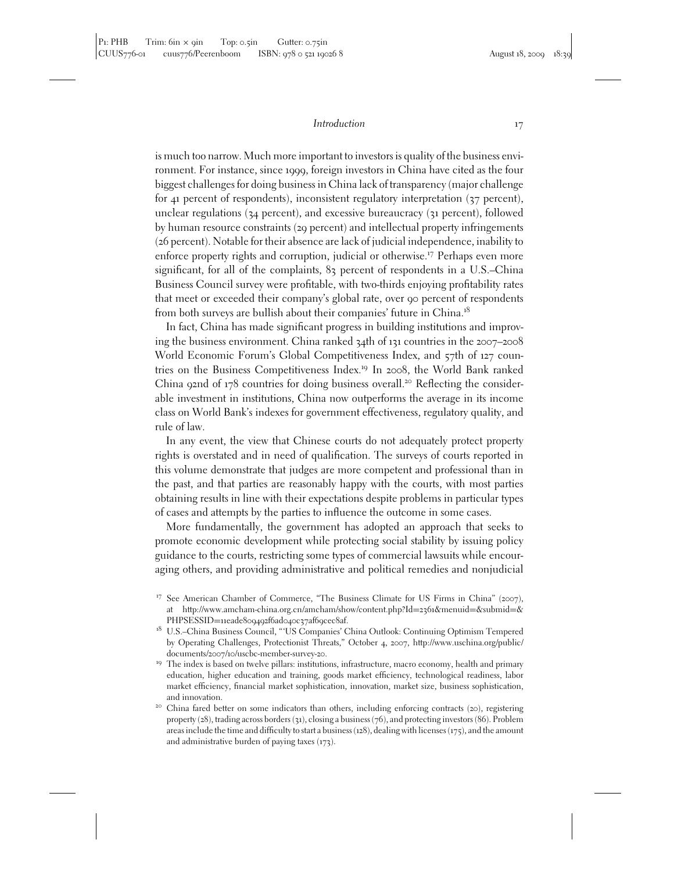is much too narrow. Much more important to investors is quality of the business environment. For instance, since 1999, foreign investors in China have cited as the four biggest challenges for doing business in China lack of transparency (major challenge for 41 percent of respondents), inconsistent regulatory interpretation (37 percent), unclear regulations (34 percent), and excessive bureaucracy (31 percent), followed by human resource constraints (29 percent) and intellectual property infringements (26 percent). Notable for their absence are lack of judicial independence, inability to enforce property rights and corruption, judicial or otherwise.<sup>17</sup> Perhaps even more significant, for all of the complaints, 83 percent of respondents in a U.S.–China Business Council survey were profitable, with two-thirds enjoying profitability rates that meet or exceeded their company's global rate, over 90 percent of respondents from both surveys are bullish about their companies' future in China.<sup>18</sup>

In fact, China has made significant progress in building institutions and improving the business environment. China ranked 34th of 131 countries in the 2007–2008 World Economic Forum's Global Competitiveness Index, and 57th of 127 countries on the Business Competitiveness Index.<sup>19</sup> In 2008, the World Bank ranked China 92nd of 178 countries for doing business overall.<sup>20</sup> Reflecting the considerable investment in institutions, China now outperforms the average in its income class on World Bank's indexes for government effectiveness, regulatory quality, and rule of law.

In any event, the view that Chinese courts do not adequately protect property rights is overstated and in need of qualification. The surveys of courts reported in this volume demonstrate that judges are more competent and professional than in the past, and that parties are reasonably happy with the courts, with most parties obtaining results in line with their expectations despite problems in particular types of cases and attempts by the parties to influence the outcome in some cases.

More fundamentally, the government has adopted an approach that seeks to promote economic development while protecting social stability by issuing policy guidance to the courts, restricting some types of commercial lawsuits while encouraging others, and providing administrative and political remedies and nonjudicial

- <sup>18</sup> U.S.–China Business Council, "'US Companies' China Outlook: Continuing Optimism Tempered by Operating Challenges, Protectionist Threats," October 4, 2007, http://www.uschina.org/public/
- documents/2007/10/uscbc-member-survey-20. <sup>19</sup> The index is based on twelve pillars: institutions, infrastructure, macro economy, health and primary education, higher education and training, goods market efficiency, technological readiness, labor market efficiency, financial market sophistication, innovation, market size, business sophistication,
- and innovation. <sup>20</sup> China fared better on some indicators than others, including enforcing contracts (20), registering property (28), trading across borders (31), closing a business (76), and protecting investors (86). Problem areas include the time and difficulty to start a business (128), dealing with licenses (175), and the amount and administrative burden of paying taxes (173).

<sup>17</sup> See American Chamber of Commerce, "The Business Climate for US Firms in China" (2007), at http://www.amcham-china.org.cn/amcham/show/content.php?Id=2361&menuid=&submid=&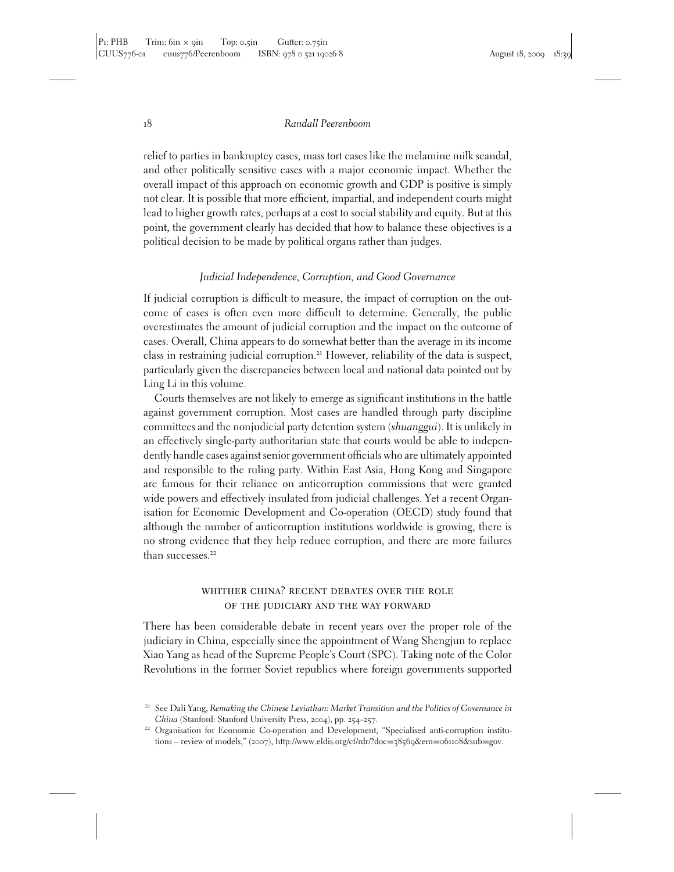relief to parties in bankruptcy cases, mass tort cases like the melamine milk scandal, and other politically sensitive cases with a major economic impact. Whether the overall impact of this approach on economic growth and GDP is positive is simply not clear. It is possible that more efficient, impartial, and independent courts might lead to higher growth rates, perhaps at a cost to social stability and equity. But at this point, the government clearly has decided that how to balance these objectives is a political decision to be made by political organs rather than judges.

## *Judicial Independence, Corruption, and Good Governance*

If judicial corruption is difficult to measure, the impact of corruption on the outcome of cases is often even more difficult to determine. Generally, the public overestimates the amount of judicial corruption and the impact on the outcome of cases. Overall, China appears to do somewhat better than the average in its income class in restraining judicial corruption.<sup>21</sup> However, reliability of the data is suspect, particularly given the discrepancies between local and national data pointed out by Ling Li in this volume.

Courts themselves are not likely to emerge as significant institutions in the battle against government corruption. Most cases are handled through party discipline committees and the nonjudicial party detention system (*shuanggui*). It is unlikely in an effectively single-party authoritarian state that courts would be able to independently handle cases against senior government officials who are ultimately appointed and responsible to the ruling party. Within East Asia, Hong Kong and Singapore are famous for their reliance on anticorruption commissions that were granted wide powers and effectively insulated from judicial challenges. Yet a recent Organisation for Economic Development and Co-operation (OECD) study found that although the number of anticorruption institutions worldwide is growing, there is no strong evidence that they help reduce corruption, and there are more failures than successes.<sup>22</sup>

# whither china? recent debates over the role of the judiciary and the way forward

There has been considerable debate in recent years over the proper role of the judiciary in China, especially since the appointment of Wang Shengjun to replace Xiao Yang as head of the Supreme People's Court (SPC). Taking note of the Color Revolutions in the former Soviet republics where foreign governments supported

<sup>21</sup> See Dali Yang, *Remaking the Chinese Leviathan: Market Transition and the Politics of Governance in China* (Stanford: Stanford University Press, 2004), pp. 254–257.<br><sup>22</sup> Organisation for Economic Co-operation and Development, "Specialised anti-corruption institu-

tions – review of models," (2007), http://www.eldis.org/cf/rdr/?doc=38569&em=061108&sub=gov.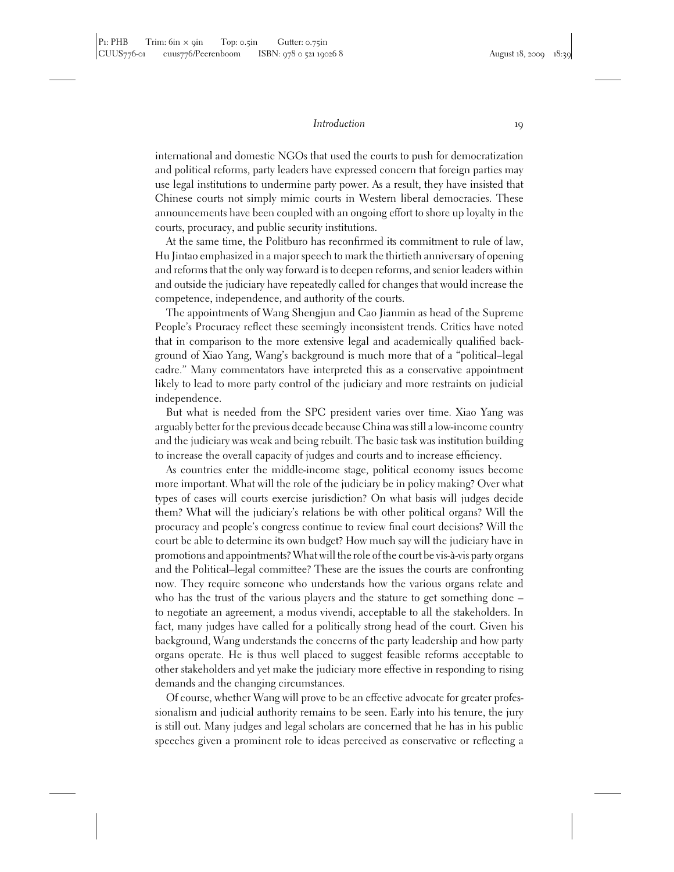international and domestic NGOs that used the courts to push for democratization and political reforms, party leaders have expressed concern that foreign parties may use legal institutions to undermine party power. As a result, they have insisted that Chinese courts not simply mimic courts in Western liberal democracies. These announcements have been coupled with an ongoing effort to shore up loyalty in the courts, procuracy, and public security institutions.

At the same time, the Politburo has reconfirmed its commitment to rule of law, Hu Jintao emphasized in a major speech to mark the thirtieth anniversary of opening and reforms that the only way forward is to deepen reforms, and senior leaders within and outside the judiciary have repeatedly called for changes that would increase the competence, independence, and authority of the courts.

The appointments of Wang Shengjun and Cao Jianmin as head of the Supreme People's Procuracy reflect these seemingly inconsistent trends. Critics have noted that in comparison to the more extensive legal and academically qualified background of Xiao Yang, Wang's background is much more that of a "political–legal cadre." Many commentators have interpreted this as a conservative appointment likely to lead to more party control of the judiciary and more restraints on judicial independence.

But what is needed from the SPC president varies over time. Xiao Yang was arguably better for the previous decade because China was still a low-income country and the judiciary was weak and being rebuilt. The basic task was institution building to increase the overall capacity of judges and courts and to increase efficiency.

As countries enter the middle-income stage, political economy issues become more important. What will the role of the judiciary be in policy making? Over what types of cases will courts exercise jurisdiction? On what basis will judges decide them? What will the judiciary's relations be with other political organs? Will the procuracy and people's congress continue to review final court decisions? Will the court be able to determine its own budget? How much say will the judiciary have in promotions and appointments?What will the role of the court be vis-a-vis party organs ` and the Political–legal committee? These are the issues the courts are confronting now. They require someone who understands how the various organs relate and who has the trust of the various players and the stature to get something done – to negotiate an agreement, a modus vivendi, acceptable to all the stakeholders. In fact, many judges have called for a politically strong head of the court. Given his background, Wang understands the concerns of the party leadership and how party organs operate. He is thus well placed to suggest feasible reforms acceptable to other stakeholders and yet make the judiciary more effective in responding to rising demands and the changing circumstances.

Of course, whether Wang will prove to be an effective advocate for greater professionalism and judicial authority remains to be seen. Early into his tenure, the jury is still out. Many judges and legal scholars are concerned that he has in his public speeches given a prominent role to ideas perceived as conservative or reflecting a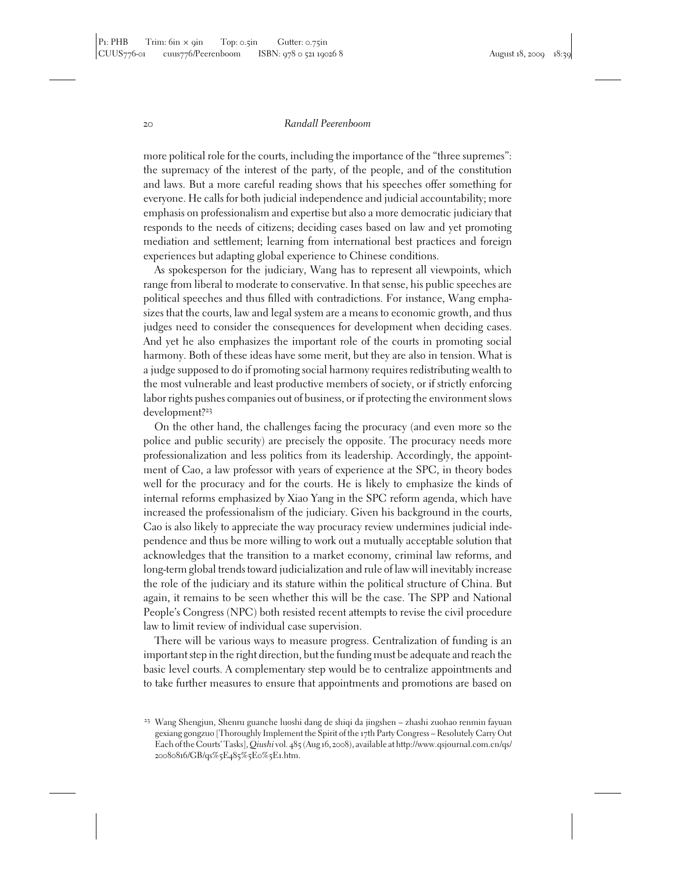more political role for the courts, including the importance of the "three supremes": the supremacy of the interest of the party, of the people, and of the constitution and laws. But a more careful reading shows that his speeches offer something for everyone. He calls for both judicial independence and judicial accountability; more emphasis on professionalism and expertise but also a more democratic judiciary that responds to the needs of citizens; deciding cases based on law and yet promoting mediation and settlement; learning from international best practices and foreign experiences but adapting global experience to Chinese conditions.

As spokesperson for the judiciary, Wang has to represent all viewpoints, which range from liberal to moderate to conservative. In that sense, his public speeches are political speeches and thus filled with contradictions. For instance, Wang emphasizes that the courts, law and legal system are a means to economic growth, and thus judges need to consider the consequences for development when deciding cases. And yet he also emphasizes the important role of the courts in promoting social harmony. Both of these ideas have some merit, but they are also in tension. What is a judge supposed to do if promoting social harmony requires redistributing wealth to the most vulnerable and least productive members of society, or if strictly enforcing labor rights pushes companies out of business, or if protecting the environment slows development?<sup>23</sup>

On the other hand, the challenges facing the procuracy (and even more so the police and public security) are precisely the opposite. The procuracy needs more professionalization and less politics from its leadership. Accordingly, the appointment of Cao, a law professor with years of experience at the SPC, in theory bodes well for the procuracy and for the courts. He is likely to emphasize the kinds of internal reforms emphasized by Xiao Yang in the SPC reform agenda, which have increased the professionalism of the judiciary. Given his background in the courts, Cao is also likely to appreciate the way procuracy review undermines judicial independence and thus be more willing to work out a mutually acceptable solution that acknowledges that the transition to a market economy, criminal law reforms, and long-term global trends toward judicialization and rule of law will inevitably increase the role of the judiciary and its stature within the political structure of China. But again, it remains to be seen whether this will be the case. The SPP and National People's Congress (NPC) both resisted recent attempts to revise the civil procedure law to limit review of individual case supervision.

There will be various ways to measure progress. Centralization of funding is an important step in the right direction, but the funding must be adequate and reach the basic level courts. A complementary step would be to centralize appointments and to take further measures to ensure that appointments and promotions are based on

<sup>23</sup> Wang Shengjun, Shenru guanche luoshi dang de shiqi da jingshen – zhashi zuohao renmin fayuan gexiang gongzuo [Thoroughly Implement the Spirit of the 17th Party Congress – Resolutely Carry Out Each of the Courts' Tasks],*Qiushi* vol. 485 (Aug 16, 2008), available at http://www.qsjournal.com.cn/qs/ 20080816/GB/qs%5E485%5E0%5E1.htm.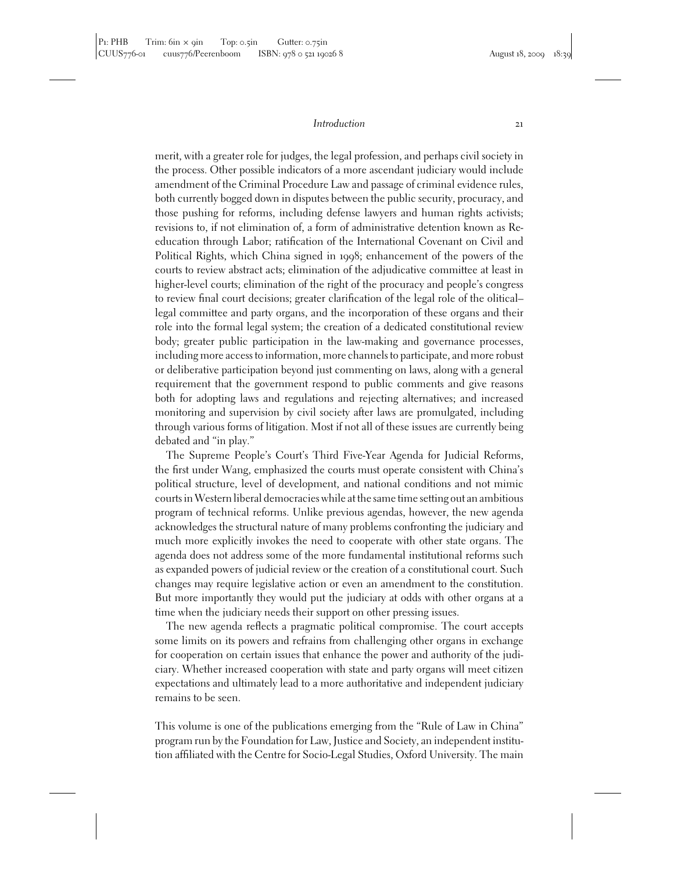merit, with a greater role for judges, the legal profession, and perhaps civil society in the process. Other possible indicators of a more ascendant judiciary would include amendment of the Criminal Procedure Law and passage of criminal evidence rules, both currently bogged down in disputes between the public security, procuracy, and those pushing for reforms, including defense lawyers and human rights activists; revisions to, if not elimination of, a form of administrative detention known as Reeducation through Labor; ratification of the International Covenant on Civil and Political Rights, which China signed in 1998; enhancement of the powers of the courts to review abstract acts; elimination of the adjudicative committee at least in higher-level courts; elimination of the right of the procuracy and people's congress to review final court decisions; greater clarification of the legal role of the olitical– legal committee and party organs, and the incorporation of these organs and their role into the formal legal system; the creation of a dedicated constitutional review body; greater public participation in the law-making and governance processes, including more access to information, more channels to participate, and more robust or deliberative participation beyond just commenting on laws, along with a general requirement that the government respond to public comments and give reasons both for adopting laws and regulations and rejecting alternatives; and increased monitoring and supervision by civil society after laws are promulgated, including through various forms of litigation. Most if not all of these issues are currently being debated and "in play."

The Supreme People's Court's Third Five-Year Agenda for Judicial Reforms, the first under Wang, emphasized the courts must operate consistent with China's political structure, level of development, and national conditions and not mimic courts inWestern liberal democracies while at the same time setting out an ambitious program of technical reforms. Unlike previous agendas, however, the new agenda acknowledges the structural nature of many problems confronting the judiciary and much more explicitly invokes the need to cooperate with other state organs. The agenda does not address some of the more fundamental institutional reforms such as expanded powers of judicial review or the creation of a constitutional court. Such changes may require legislative action or even an amendment to the constitution. But more importantly they would put the judiciary at odds with other organs at a time when the judiciary needs their support on other pressing issues.

The new agenda reflects a pragmatic political compromise. The court accepts some limits on its powers and refrains from challenging other organs in exchange for cooperation on certain issues that enhance the power and authority of the judiciary. Whether increased cooperation with state and party organs will meet citizen expectations and ultimately lead to a more authoritative and independent judiciary remains to be seen.

This volume is one of the publications emerging from the "Rule of Law in China" program run by the Foundation for Law, Justice and Society, an independent institution affiliated with the Centre for Socio-Legal Studies, Oxford University. The main